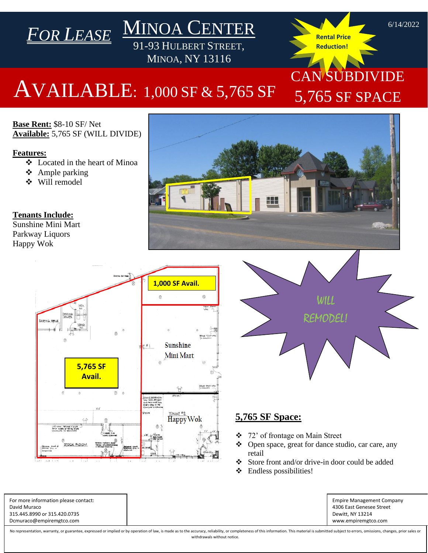## AVAILABLE: 1,000 SF & 5,765 SF

MINOA CENTER

91-93 HULBERT STREET, MINOA, NY 13116

**Base Rent:** \$8-10 SF/ Net **Available:** 5,765 SF (WILL DIVIDE)

*FOR LEASE*

## **Features:**

- ❖ Located in the heart of Minoa
- ❖ Ample parking
- ❖ Will remodel

**Tenants Include:**

Sunshine Mini Mart Parkway Liquors Happy Wok





**Rental Price Reduction!** 

CAN SUBDIVIDE

5,765 SF SPACE

## **5,765 SF Space:**

- ❖ 72' of frontage on Main Street
- ❖ Open space, great for dance studio, car care, any retail
- ❖ Store front and/or drive-in door could be added
- ❖ Endless possibilities!

Empire Management Company 4306 East Genesee Street Dewitt, NY 13214 www.empiremgtco.com

For more information please contact: David Muraco 315.445.8990 or 315.420.0735 Dcmuraco@empiremgtco.com

No representation, warranty, or guarantee, expressed or implied or by operation of law, is made as to the accuracy, reliability, or completeness of this information. This material is submitted subject to errors, omissions, withdrawals without notice.

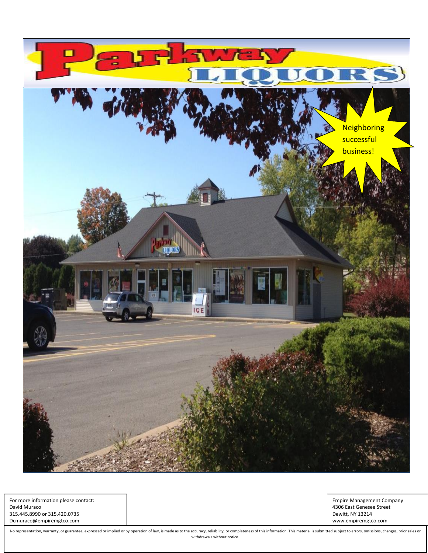

For more information please contact: David Muraco 315.445.8990 or 315.420.0735 Dcmuraco@empiremgtco.com

Empire Management Company 4306 East Genesee Street Dewitt, NY 13214 www.empiremgtco.com

No representation, warranty, or guarantee, expressed or implied or by operation of law, is made as to the accuracy, reliability, or completeness of this information. This material is submitted subject to errors, omissions, withdrawals without notice.